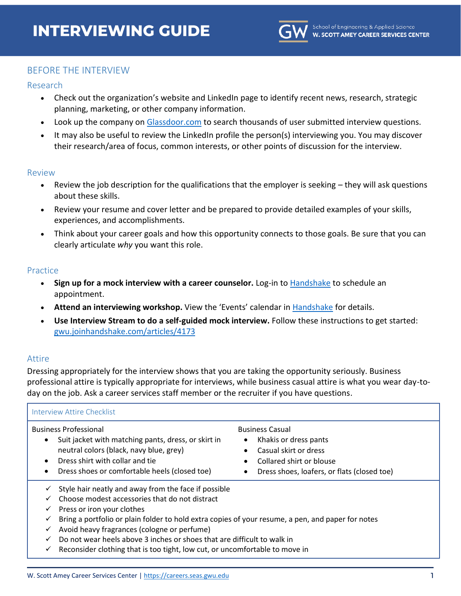

# BEFORE THE INTERVIEW

### Research

- Check out the organization's website and LinkedIn page to identify recent news, research, strategic planning, marketing, or other company information.
- Look up the company on [Glassdoor.com](https://www.glassdoor.com/) to search thousands of user submitted interview questions.
- It may also be useful to review the LinkedIn profile the person(s) interviewing you. You may discover their research/area of focus, common interests, or other points of discussion for the interview.

#### Review

- Review the job description for the qualifications that the employer is seeking they will ask questions about these skills.
- Review your resume and cover letter and be prepared to provide detailed examples of your skills, experiences, and accomplishments.
- Think about your career goals and how this opportunity connects to those goals. Be sure that you can clearly articulate *why* you want this role.

### **Practice**

- **Sign up for a mock interview with a career counselor.** Log-in to [Handshake](https://gwu.joinhandshake.com/) to schedule an appointment.
- **Attend an interviewing workshop.** View the 'Events' calendar in [Handshake](https://gwu.joinhandshake.com/events) for details.
- **Use Interview Stream to do a self-guided mock interview.** Follow these instructions to get started: [gwu.joinhandshake.com/articles/4173](https://gwu.joinhandshake.com/articles/4173)

### Attire

Dressing appropriately for the interview shows that you are taking the opportunity seriously. Business professional attire is typically appropriate for interviews, while business casual attire is what you wear day-today on the job. Ask a career services staff member or the recruiter if you have questions.

| Interview Attire Checklist                                                                                                                                                                                                                                                                                                                                                                                                                                                  |                                                                                                                                                                                                 |  |  |  |
|-----------------------------------------------------------------------------------------------------------------------------------------------------------------------------------------------------------------------------------------------------------------------------------------------------------------------------------------------------------------------------------------------------------------------------------------------------------------------------|-------------------------------------------------------------------------------------------------------------------------------------------------------------------------------------------------|--|--|--|
| <b>Business Professional</b><br>Suit jacket with matching pants, dress, or skirt in<br>$\bullet$<br>neutral colors (black, navy blue, grey)<br>Dress shirt with collar and tie<br>$\bullet$<br>Dress shoes or comfortable heels (closed toe)<br>$\bullet$                                                                                                                                                                                                                   | <b>Business Casual</b><br>Khakis or dress pants<br>٠<br>Casual skirt or dress<br>$\bullet$<br>Collared shirt or blouse<br>$\bullet$<br>Dress shoes, loafers, or flats (closed toe)<br>$\bullet$ |  |  |  |
| Style hair neatly and away from the face if possible<br>✓<br>Choose modest accessories that do not distract<br>Press or iron your clothes<br>✓<br>Bring a portfolio or plain folder to hold extra copies of your resume, a pen, and paper for notes<br>✓<br>Avoid heavy fragrances (cologne or perfume)<br>✓<br>Do not wear heels above 3 inches or shoes that are difficult to walk in<br>Reconsider clothing that is too tight, low cut, or uncomfortable to move in<br>✓ |                                                                                                                                                                                                 |  |  |  |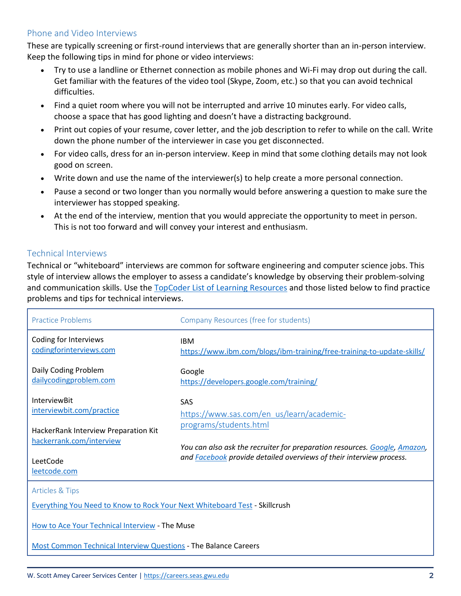# Phone and Video Interviews

These are typically screening or first-round interviews that are generally shorter than an in-person interview. Keep the following tips in mind for phone or video interviews:

- Try to use a landline or Ethernet connection as mobile phones and Wi-Fi may drop out during the call. Get familiar with the features of the video tool (Skype, Zoom, etc.) so that you can avoid technical difficulties.
- Find a quiet room where you will not be interrupted and arrive 10 minutes early. For video calls, choose a space that has good lighting and doesn't have a distracting background.
- Print out copies of your resume, cover letter, and the job description to refer to while on the call. Write down the phone number of the interviewer in case you get disconnected.
- For video calls, dress for an in-person interview. Keep in mind that some clothing details may not look good on screen.
- Write down and use the name of the interviewer(s) to help create a more personal connection.
- Pause a second or two longer than you normally would before answering a question to make sure the interviewer has stopped speaking.
- At the end of the interview, mention that you would appreciate the opportunity to meet in person. This is not too forward and will convey your interest and enthusiasm.

# Technical Interviews

Technical or "whiteboard" interviews are common for software engineering and computer science jobs. This style of interview allows the employer to assess a candidate's knowledge by observing their problem-solving and communication skills. Use the [TopCoder List of Learning Resources](https://www.topcoder.com/thrive/articles/List%20of%20awesome%20learning%20resources) and those listed below to find practice problems and tips for technical interviews.

| <b>Practice Problems</b>                                                          | Company Resources (free for students)                                                                                                                                             |  |  |  |
|-----------------------------------------------------------------------------------|-----------------------------------------------------------------------------------------------------------------------------------------------------------------------------------|--|--|--|
| Coding for Interviews<br>codingforinterviews.com                                  | <b>IBM</b><br>https://www.ibm.com/blogs/ibm-training/free-training-to-update-skills/                                                                                              |  |  |  |
| Daily Coding Problem<br>dailycodingproblem.com                                    | Google<br>https://developers.google.com/training/                                                                                                                                 |  |  |  |
| <b>InterviewBit</b><br>interviewbit.com/practice                                  | <b>SAS</b><br>https://www.sas.com/en_us/learn/academic-                                                                                                                           |  |  |  |
| HackerRank Interview Preparation Kit<br>hackerrank.com/interview                  | programs/students.html<br>You can also ask the recruiter for preparation resources. Google, Amazon,<br>and <b>Facebook</b> provide detailed overviews of their interview process. |  |  |  |
| LeetCode<br>leetcode.com                                                          |                                                                                                                                                                                   |  |  |  |
| <b>Articles &amp; Tips</b>                                                        |                                                                                                                                                                                   |  |  |  |
| <b>Everything You Need to Know to Rock Your Next Whiteboard Test - Skillcrush</b> |                                                                                                                                                                                   |  |  |  |
| How to Ace Your Technical Interview - The Muse                                    |                                                                                                                                                                                   |  |  |  |
| Most Common Technical Interview Questions - The Balance Careers                   |                                                                                                                                                                                   |  |  |  |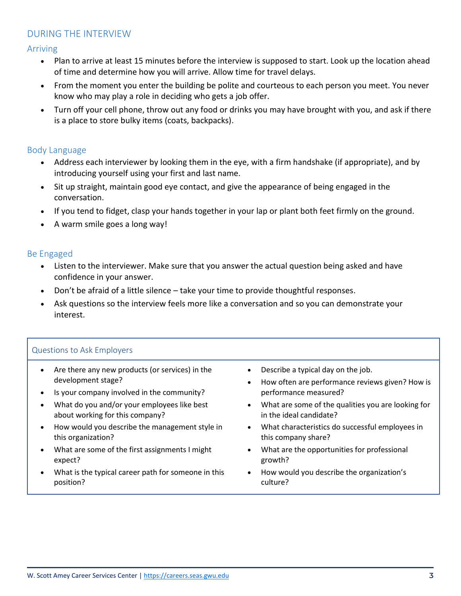# DURING THE INTERVIEW

Arriving

- Plan to arrive at least 15 minutes before the interview is supposed to start. Look up the location ahead of time and determine how you will arrive. Allow time for travel delays.
- From the moment you enter the building be polite and courteous to each person you meet. You never know who may play a role in deciding who gets a job offer.
- Turn off your cell phone, throw out any food or drinks you may have brought with you, and ask if there is a place to store bulky items (coats, backpacks).

# Body Language

- Address each interviewer by looking them in the eye, with a firm handshake (if appropriate), and by introducing yourself using your first and last name.
- Sit up straight, maintain good eye contact, and give the appearance of being engaged in the conversation.
- If you tend to fidget, clasp your hands together in your lap or plant both feet firmly on the ground.
- A warm smile goes a long way!

# Be Engaged

- Listen to the interviewer. Make sure that you answer the actual question being asked and have confidence in your answer.
- Don't be afraid of a little silence take your time to provide thoughtful responses.
- Ask questions so the interview feels more like a conversation and so you can demonstrate your interest.

# Questions to Ask Employers

- Are there any new products (or services) in the development stage?
- Is your company involved in the community?
- What do you and/or your employees like best about working for this company?
- How would you describe the management style in this organization?
- What are some of the first assignments I might expect?
- What is the typical career path for someone in this position?
- Describe a typical day on the job.
- How often are performance reviews given? How is performance measured?
- What are some of the qualities you are looking for in the ideal candidate?
- What characteristics do successful employees in this company share?
- What are the opportunities for professional growth?
- How would you describe the organization's culture?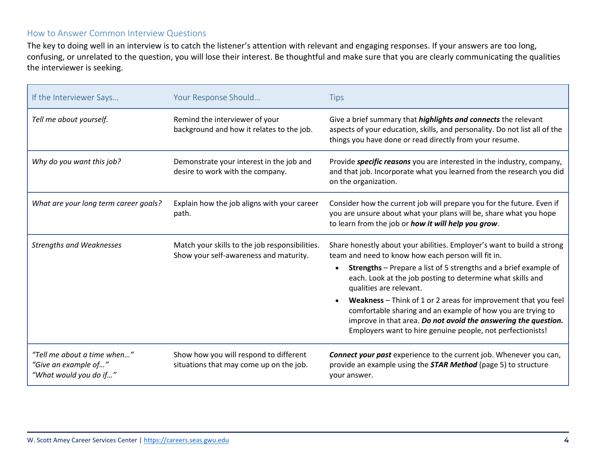# How to Answer Common Interview Questions

The key to doing well in an interview is to catch the listener's attention with relevant and engaging responses. If your answers are too long, confusing, or unrelated to the question, you will lose their interest. Be thoughtful and make sure that you are clearly communicating the qualities the interviewer is seeking.

| If the Interviewer Says                                                       | Your Response Should                                                                     | <b>Tips</b>                                                                                                                                                                                                                                                   |
|-------------------------------------------------------------------------------|------------------------------------------------------------------------------------------|---------------------------------------------------------------------------------------------------------------------------------------------------------------------------------------------------------------------------------------------------------------|
| Tell me about yourself.                                                       | Remind the interviewer of your<br>background and how it relates to the job.              | Give a brief summary that <i>highlights and connects</i> the relevant<br>aspects of your education, skills, and personality. Do not list all of the<br>things you have done or read directly from your resume.                                                |
| Why do you want this job?                                                     | Demonstrate your interest in the job and<br>desire to work with the company.             | Provide <i>specific reasons</i> you are interested in the industry, company,<br>and that job. Incorporate what you learned from the research you did<br>on the organization.                                                                                  |
| What are your long term career goals?                                         | Explain how the job aligns with your career<br>path.                                     | Consider how the current job will prepare you for the future. Even if<br>you are unsure about what your plans will be, share what you hope<br>to learn from the job or how it will help you grow.                                                             |
| <b>Strengths and Weaknesses</b>                                               | Match your skills to the job responsibilities.<br>Show your self-awareness and maturity. | Share honestly about your abilities. Employer's want to build a strong<br>team and need to know how each person will fit in.                                                                                                                                  |
|                                                                               |                                                                                          | <b>Strengths</b> - Prepare a list of 5 strengths and a brief example of<br>each. Look at the job posting to determine what skills and<br>qualities are relevant.                                                                                              |
|                                                                               |                                                                                          | Weakness - Think of 1 or 2 areas for improvement that you feel<br>comfortable sharing and an example of how you are trying to<br>improve in that area. Do not avoid the answering the question.<br>Employers want to hire genuine people, not perfectionists! |
| "Tell me about a time when"<br>"Give an example of"<br>"What would you do if" | Show how you will respond to different<br>situations that may come up on the job.        | <b>Connect your past</b> experience to the current job. Whenever you can,<br>provide an example using the <b>STAR Method</b> (page 5) to structure<br>your answer.                                                                                            |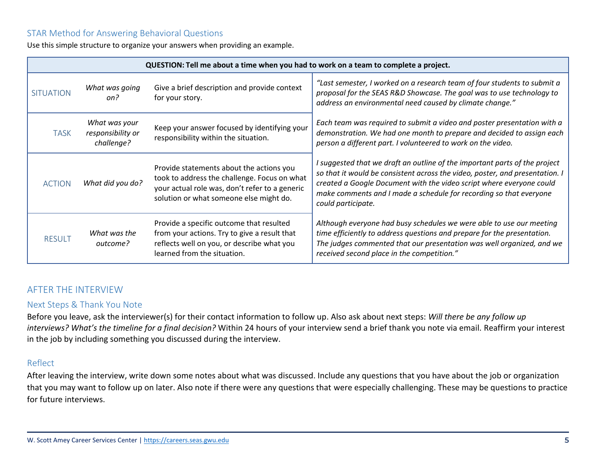# STAR Method for Answering Behavioral Questions

Use this simple structure to organize your answers when providing an example.

| QUESTION: Tell me about a time when you had to work on a team to complete a project. |                                                  |                                                                                                                                                                                       |                                                                                                                                                                                                                                                                                                                                |  |
|--------------------------------------------------------------------------------------|--------------------------------------------------|---------------------------------------------------------------------------------------------------------------------------------------------------------------------------------------|--------------------------------------------------------------------------------------------------------------------------------------------------------------------------------------------------------------------------------------------------------------------------------------------------------------------------------|--|
| <b>SITUATION</b>                                                                     | What was going<br>on?                            | Give a brief description and provide context<br>for your story.                                                                                                                       | "Last semester, I worked on a research team of four students to submit a<br>proposal for the SEAS R&D Showcase. The goal was to use technology to<br>address an environmental need caused by climate change."                                                                                                                  |  |
| <b>TASK</b>                                                                          | What was your<br>responsibility or<br>challenge? | Keep your answer focused by identifying your<br>responsibility within the situation.                                                                                                  | Each team was required to submit a video and poster presentation with a<br>demonstration. We had one month to prepare and decided to assign each<br>person a different part. I volunteered to work on the video.                                                                                                               |  |
| <b>ACTION</b>                                                                        | What did you do?                                 | Provide statements about the actions you<br>took to address the challenge. Focus on what<br>your actual role was, don't refer to a generic<br>solution or what someone else might do. | I suggested that we draft an outline of the important parts of the project<br>so that it would be consistent across the video, poster, and presentation. I<br>created a Google Document with the video script where everyone could<br>make comments and I made a schedule for recording so that everyone<br>could participate. |  |
| <b>RESULT</b>                                                                        | What was the<br>outcome?                         | Provide a specific outcome that resulted<br>from your actions. Try to give a result that<br>reflects well on you, or describe what you<br>learned from the situation.                 | Although everyone had busy schedules we were able to use our meeting<br>time efficiently to address questions and prepare for the presentation.<br>The judges commented that our presentation was well organized, and we<br>received second place in the competition."                                                         |  |

# AFTER THE INTERVIEW

### Next Steps & Thank You Note

Before you leave, ask the interviewer(s) for their contact information to follow up. Also ask about next steps: *Will there be any follow up interviews? What's the timeline for a final decision?* Within 24 hours of your interview send a brief thank you note via email. Reaffirm your interest in the job by including something you discussed during the interview.

### Reflect

After leaving the interview, write down some notes about what was discussed. Include any questions that you have about the job or organization that you may want to follow up on later. Also note if there were any questions that were especially challenging. These may be questions to practice for future interviews.